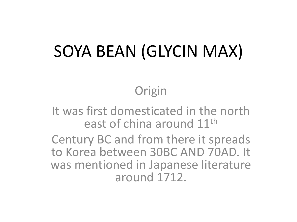#### SOYA BEAN (GLYCIN MAX)

#### **Origin**

It was first domesticated in the north east of china around 11th

Century BC and from there it spreads to Korea between 30BC AND 70AD. It was mentioned in Japanese literature around 1712.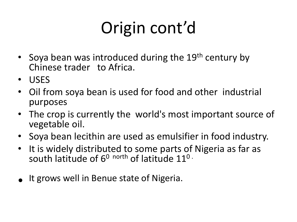# Origin cont'd

- Soya bean was introduced during the 19<sup>th</sup> century by Chinese trader to Africa.
- USES
- Oil from soya bean is used for food and other industrial purposes
- The crop is currently the world's most important source of vegetable oil.
- Soya bean lecithin are used as emulsifier in food industry.
- It is widely distributed to some parts of Nigeria as far as south latitude of  $6^0$  north of latitude  $11^0$ .
- It grows well in Benue state of Nigeria.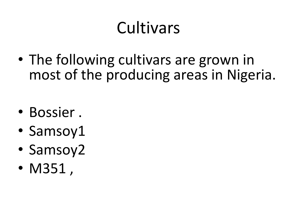## **Cultivars**

- The following cultivars are grown in most of the producing areas in Nigeria.
- Bossier .
- Samsoy1
- Samsoy2
- M351 ,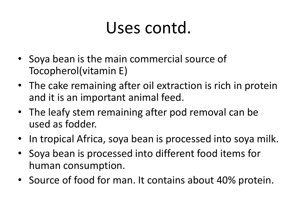### Uses contd.

- Soya bean is the main commercial source of Tocopherol(vitamin E)
- The cake remaining after oil extraction is rich in protein and it is an important animal feed.
- The leafy stem remaining after pod removal can be used as fodder.
- In tropical Africa, soya bean is processed into soya milk.
- Soya bean is processed into different food items for human consumption.
- Source of food for man. It contains about 40% protein.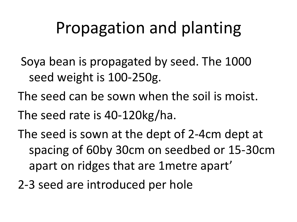### Propagation and planting

- Soya bean is propagated by seed. The 1000 seed weight is 100-250g.
- The seed can be sown when the soil is moist.
- The seed rate is 40-120kg/ha.
- The seed is sown at the dept of 2-4cm dept at spacing of 60by 30cm on seedbed or 15-30cm apart on ridges that are 1metre apart'
- 2-3 seed are introduced per hole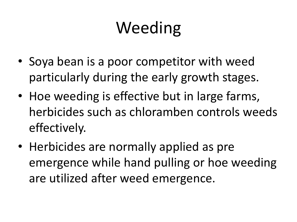## Weeding

- Soya bean is a poor competitor with weed particularly during the early growth stages.
- Hoe weeding is effective but in large farms, herbicides such as chloramben controls weeds effectively.
- Herbicides are normally applied as pre emergence while hand pulling or hoe weeding are utilized after weed emergence.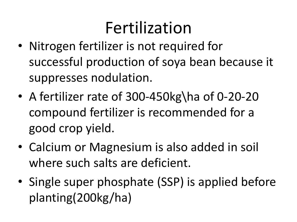### Fertilization

- Nitrogen fertilizer is not required for successful production of soya bean because it suppresses nodulation.
- A fertilizer rate of 300-450kg\ha of 0-20-20 compound fertilizer is recommended for a good crop yield.
- Calcium or Magnesium is also added in soil where such salts are deficient.
- Single super phosphate (SSP) is applied before planting(200kg/ha)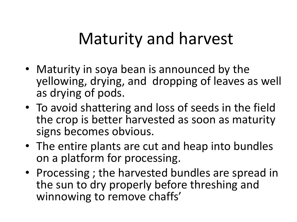#### Maturity and harvest

- Maturity in soya bean is announced by the yellowing, drying, and dropping of leaves as well as drying of pods.
- To avoid shattering and loss of seeds in the field the crop is better harvested as soon as maturity signs becomes obvious.
- The entire plants are cut and heap into bundles on a platform for processing.
- Processing ; the harvested bundles are spread in the sun to dry properly before threshing and winnowing to remove chaffs'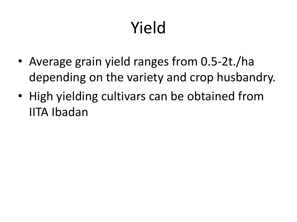# Yield

- Average grain yield ranges from 0.5-2t./ha depending on the variety and crop husbandry.
- High yielding cultivars can be obtained from IITA Ibadan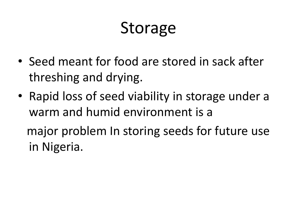#### Storage

- Seed meant for food are stored in sack after threshing and drying.
- Rapid loss of seed viability in storage under a warm and humid environment is a

 major problem In storing seeds for future use in Nigeria.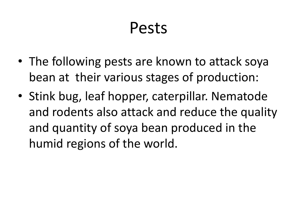#### Pests

- The following pests are known to attack soya bean at their various stages of production:
- Stink bug, leaf hopper, caterpillar. Nematode and rodents also attack and reduce the quality and quantity of soya bean produced in the humid regions of the world.